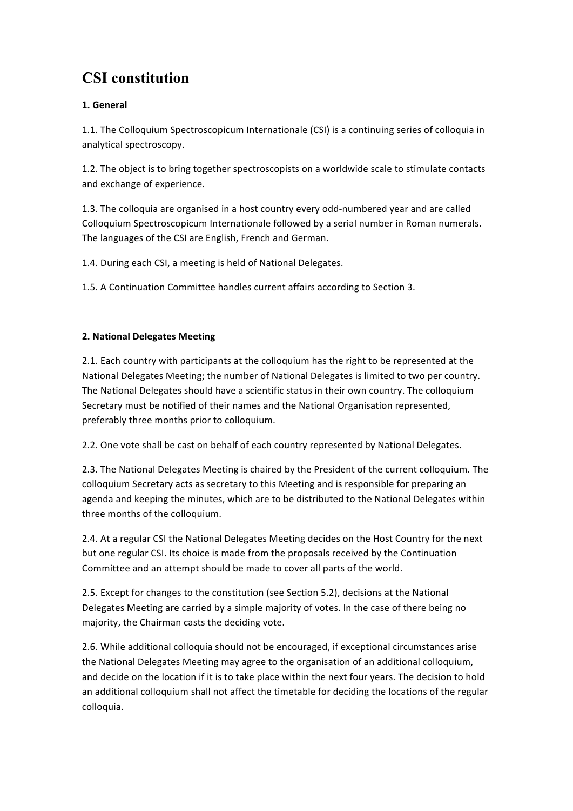# **CSI constitution**

## **1. General**

1.1. The Colloquium Spectroscopicum Internationale (CSI) is a continuing series of colloquia in analytical spectroscopy.

1.2. The object is to bring together spectroscopists on a worldwide scale to stimulate contacts and exchange of experience.

1.3. The colloquia are organised in a host country every odd-numbered year and are called Colloquium Spectroscopicum Internationale followed by a serial number in Roman numerals. The languages of the CSI are English, French and German.

1.4. During each CSI, a meeting is held of National Delegates.

1.5. A Continuation Committee handles current affairs according to Section 3.

## **2. National Delegates Meeting**

2.1. Each country with participants at the colloquium has the right to be represented at the National Delegates Meeting; the number of National Delegates is limited to two per country. The National Delegates should have a scientific status in their own country. The colloquium Secretary must be notified of their names and the National Organisation represented, preferably three months prior to colloquium.

2.2. One vote shall be cast on behalf of each country represented by National Delegates.

2.3. The National Delegates Meeting is chaired by the President of the current colloquium. The colloquium Secretary acts as secretary to this Meeting and is responsible for preparing an agenda and keeping the minutes, which are to be distributed to the National Delegates within three months of the colloquium.

2.4. At a regular CSI the National Delegates Meeting decides on the Host Country for the next but one regular CSI. Its choice is made from the proposals received by the Continuation Committee and an attempt should be made to cover all parts of the world.

2.5. Except for changes to the constitution (see Section 5.2), decisions at the National Delegates Meeting are carried by a simple majority of votes. In the case of there being no majority, the Chairman casts the deciding vote.

2.6. While additional colloquia should not be encouraged, if exceptional circumstances arise the National Delegates Meeting may agree to the organisation of an additional colloquium, and decide on the location if it is to take place within the next four years. The decision to hold an additional colloquium shall not affect the timetable for deciding the locations of the regular colloquia.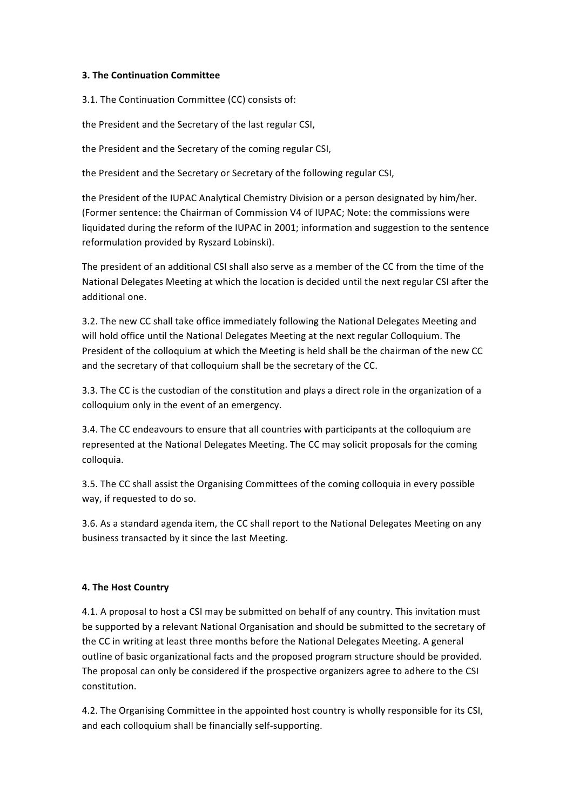#### **3. The Continuation Committee**

3.1. The Continuation Committee (CC) consists of:

the President and the Secretary of the last regular CSI,

the President and the Secretary of the coming regular CSI,

the President and the Secretary or Secretary of the following regular CSI,

the President of the IUPAC Analytical Chemistry Division or a person designated by him/her. (Former sentence: the Chairman of Commission V4 of IUPAC; Note: the commissions were liquidated during the reform of the IUPAC in 2001; information and suggestion to the sentence reformulation provided by Ryszard Lobinski).

The president of an additional CSI shall also serve as a member of the CC from the time of the National Delegates Meeting at which the location is decided until the next regular CSI after the additional one.

3.2. The new CC shall take office immediately following the National Delegates Meeting and will hold office until the National Delegates Meeting at the next regular Colloquium. The President of the colloquium at which the Meeting is held shall be the chairman of the new CC and the secretary of that colloquium shall be the secretary of the CC.

3.3. The CC is the custodian of the constitution and plays a direct role in the organization of a colloquium only in the event of an emergency.

3.4. The CC endeavours to ensure that all countries with participants at the colloquium are represented at the National Delegates Meeting. The CC may solicit proposals for the coming colloquia.

3.5. The CC shall assist the Organising Committees of the coming colloquia in every possible way, if requested to do so.

3.6. As a standard agenda item, the CC shall report to the National Delegates Meeting on any business transacted by it since the last Meeting.

### **4. The Host Country**

4.1. A proposal to host a CSI may be submitted on behalf of any country. This invitation must be supported by a relevant National Organisation and should be submitted to the secretary of the CC in writing at least three months before the National Delegates Meeting. A general outline of basic organizational facts and the proposed program structure should be provided. The proposal can only be considered if the prospective organizers agree to adhere to the CSI constitution.

4.2. The Organising Committee in the appointed host country is wholly responsible for its CSI, and each colloquium shall be financially self-supporting.